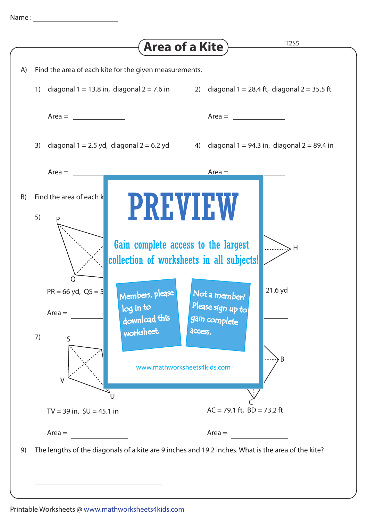